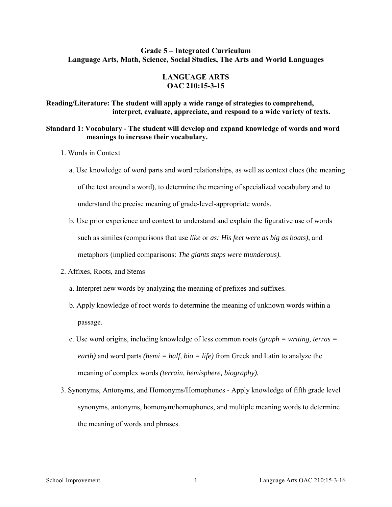## **Grade 5 – Integrated Curriculum Language Arts, Math, Science, Social Studies, The Arts and World Languages**

## **LANGUAGE ARTS OAC 210:15-3-15**

## **Reading/Literature: The student will apply a wide range of strategies to comprehend, interpret, evaluate, appreciate, and respond to a wide variety of texts.**

## **Standard 1: Vocabulary - The student will develop and expand knowledge of words and word meanings to increase their vocabulary.**

- 1. Words in Context
	- a. Use knowledge of word parts and word relationships, as well as context clues (the meaning of the text around a word), to determine the meaning of specialized vocabulary and to understand the precise meaning of grade-level-appropriate words.
	- b. Use prior experience and context to understand and explain the figurative use of words such as similes (comparisons that use *like* or *as: His feet were as big as boats),* and metaphors (implied comparisons: *The giants steps were thunderous).*
- 2. Affixes, Roots, and Stems
	- a. Interpret new words by analyzing the meaning of prefixes and suffixes.
	- b. Apply knowledge of root words to determine the meaning of unknown words within a passage.
	- c. Use word origins, including knowledge of less common roots (*graph = writing, terras = earth)* and word parts *(hemi = half, bio = life)* from Greek and Latin to analyze the meaning of complex words *(terrain, hemisphere, biography).*
- 3. Synonyms, Antonyms, and Homonyms/Homophones Apply knowledge of fifth grade level synonyms, antonyms, homonym/homophones, and multiple meaning words to determine the meaning of words and phrases.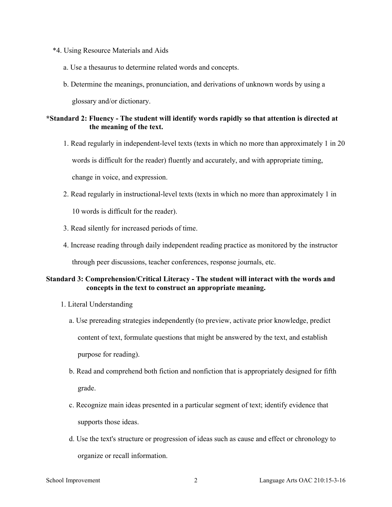- \*4. Using Resource Materials and Aids
	- a. Use a thesaurus to determine related words and concepts.
	- b. Determine the meanings, pronunciation, and derivations of unknown words by using a glossary and/or dictionary.

## **\*Standard 2: Fluency - The student will identify words rapidly so that attention is directed at the meaning of the text.**

- 1. Read regularly in independent-level texts (texts in which no more than approximately 1 in 20 words is difficult for the reader) fluently and accurately, and with appropriate timing, change in voice, and expression.
- 2. Read regularly in instructional-level texts (texts in which no more than approximately 1 in 10 words is difficult for the reader).
- 3. Read silently for increased periods of time.
- 4. Increase reading through daily independent reading practice as monitored by the instructor through peer discussions, teacher conferences, response journals, etc.

## **Standard 3: Comprehension/Critical Literacy - The student will interact with the words and concepts in the text to construct an appropriate meaning.**

- 1. Literal Understanding
	- a. Use prereading strategies independently (to preview, activate prior knowledge, predict content of text, formulate questions that might be answered by the text, and establish purpose for reading).
	- b. Read and comprehend both fiction and nonfiction that is appropriately designed for fifth grade.
	- c. Recognize main ideas presented in a particular segment of text; identify evidence that supports those ideas.
	- d. Use the text's structure or progression of ideas such as cause and effect or chronology to organize or recall information.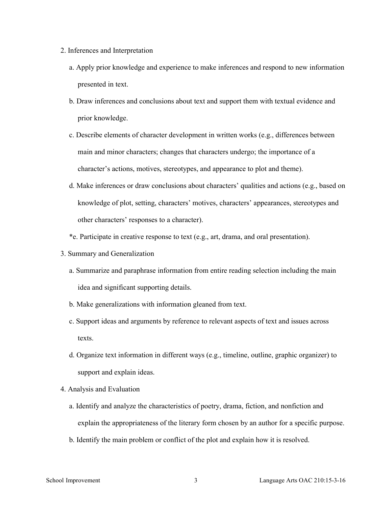- 2. Inferences and Interpretation
	- a. Apply prior knowledge and experience to make inferences and respond to new information presented in text.
	- b. Draw inferences and conclusions about text and support them with textual evidence and prior knowledge.
	- c. Describe elements of character development in written works (e.g., differences between main and minor characters; changes that characters undergo; the importance of a character's actions, motives, stereotypes, and appearance to plot and theme).
	- d. Make inferences or draw conclusions about characters' qualities and actions (e.g., based on knowledge of plot, setting, characters' motives, characters' appearances, stereotypes and other characters' responses to a character).
	- \*e. Participate in creative response to text (e.g., art, drama, and oral presentation).
- 3. Summary and Generalization
	- a. Summarize and paraphrase information from entire reading selection including the main idea and significant supporting details.
	- b. Make generalizations with information gleaned from text.
	- c. Support ideas and arguments by reference to relevant aspects of text and issues across texts.
	- d. Organize text information in different ways (e.g., timeline, outline, graphic organizer) to support and explain ideas.
- 4. Analysis and Evaluation
	- a. Identify and analyze the characteristics of poetry, drama, fiction, and nonfiction and explain the appropriateness of the literary form chosen by an author for a specific purpose.
	- b. Identify the main problem or conflict of the plot and explain how it is resolved.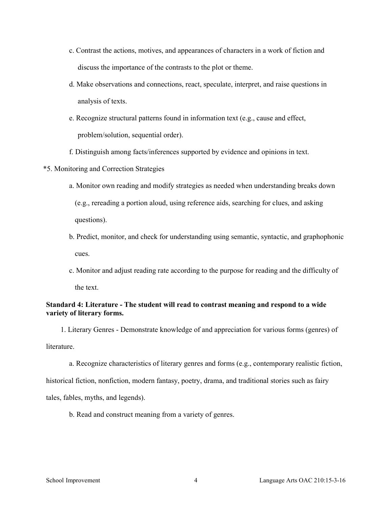- c. Contrast the actions, motives, and appearances of characters in a work of fiction and discuss the importance of the contrasts to the plot or theme.
- d. Make observations and connections, react, speculate, interpret, and raise questions in analysis of texts.
- e. Recognize structural patterns found in information text (e.g., cause and effect, problem/solution, sequential order).
- f. Distinguish among facts/inferences supported by evidence and opinions in text.
- \*5. Monitoring and Correction Strategies
	- a. Monitor own reading and modify strategies as needed when understanding breaks down (e.g., rereading a portion aloud, using reference aids, searching for clues, and asking questions).
	- b. Predict, monitor, and check for understanding using semantic, syntactic, and graphophonic cues.
	- c. Monitor and adjust reading rate according to the purpose for reading and the difficulty of the text.

## **Standard 4: Literature - The student will read to contrast meaning and respond to a wide variety of literary forms.**

1. Literary Genres - Demonstrate knowledge of and appreciation for various forms (genres) of **literature** 

a. Recognize characteristics of literary genres and forms (e.g., contemporary realistic fiction,

historical fiction, nonfiction, modern fantasy, poetry, drama, and traditional stories such as fairy

tales, fables, myths, and legends).

b. Read and construct meaning from a variety of genres.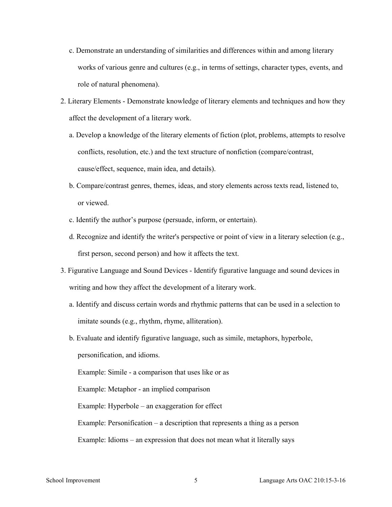- c. Demonstrate an understanding of similarities and differences within and among literary works of various genre and cultures (e.g., in terms of settings, character types, events, and role of natural phenomena).
- 2. Literary Elements Demonstrate knowledge of literary elements and techniques and how they affect the development of a literary work.
	- a. Develop a knowledge of the literary elements of fiction (plot, problems, attempts to resolve conflicts, resolution, etc.) and the text structure of nonfiction (compare/contrast, cause/effect, sequence, main idea, and details).
	- b. Compare/contrast genres, themes, ideas, and story elements across texts read, listened to, or viewed.
	- c. Identify the author's purpose (persuade, inform, or entertain).
	- d. Recognize and identify the writer's perspective or point of view in a literary selection (e.g., first person, second person) and how it affects the text.
- 3. Figurative Language and Sound Devices Identify figurative language and sound devices in writing and how they affect the development of a literary work.
	- a. Identify and discuss certain words and rhythmic patterns that can be used in a selection to imitate sounds (e.g., rhythm, rhyme, alliteration).
	- b. Evaluate and identify figurative language, such as simile, metaphors, hyperbole, personification, and idioms. Example: Simile - a comparison that uses like or as Example: Metaphor - an implied comparison

Example: Hyperbole – an exaggeration for effect

Example: Personification – a description that represents a thing as a person

Example: Idioms – an expression that does not mean what it literally says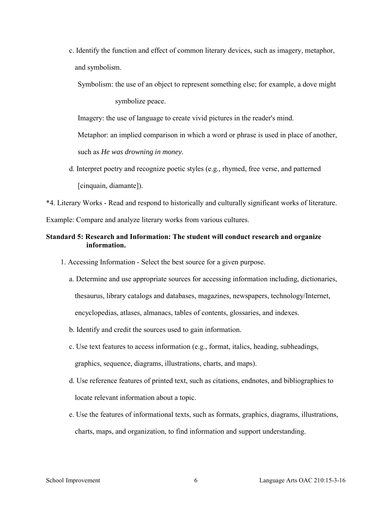c. Identify the function and effect of common literary devices, such as imagery, metaphor, and symbolism.

Symbolism: the use of an object to represent something else; for example, a dove might symbolize peace.

Imagery: the use of language to create vivid pictures in the reader's mind.

Metaphor: an implied comparison in which a word or phrase is used in place of another,

such as *He was drowning in money.* 

d. Interpret poetry and recognize poetic styles (e.g., rhymed, free verse, and patterned [cinquain, diamante]).

\*4. Literary Works - Read and respond to historically and culturally significant works of literature.

Example: Compare and analyze literary works from various cultures.

# **Standard 5: Research and Information: The student will conduct research and organize information.**

- 1. Accessing Information Select the best source for a given purpose.
	- a. Determine and use appropriate sources for accessing information including, dictionaries, thesaurus, library catalogs and databases, magazines, newspapers, technology/Internet, encyclopedias, atlases, almanacs, tables of contents, glossaries, and indexes.
	- b. Identify and credit the sources used to gain information.
	- c. Use text features to access information (e.g., format, italics, heading, subheadings, graphics, sequence, diagrams, illustrations, charts, and maps).
	- d. Use reference features of printed text, such as citations, endnotes, and bibliographies to locate relevant information about a topic.
	- e. Use the features of informational texts, such as formats, graphics, diagrams, illustrations, charts, maps, and organization, to find information and support understanding.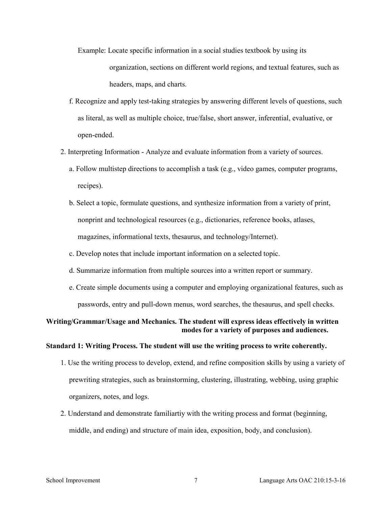- Example: Locate specific information in a social studies textbook by using its organization, sections on different world regions, and textual features, such as headers, maps, and charts.
- f. Recognize and apply test-taking strategies by answering different levels of questions, such as literal, as well as multiple choice, true/false, short answer, inferential, evaluative, or open-ended.
- 2. Interpreting Information Analyze and evaluate information from a variety of sources.
	- a. Follow multistep directions to accomplish a task (e.g., video games, computer programs, recipes).
	- b. Select a topic, formulate questions, and synthesize information from a variety of print, nonprint and technological resources (e.g., dictionaries, reference books, atlases, magazines, informational texts, thesaurus, and technology/Internet).
	- c. Develop notes that include important information on a selected topic.
	- d. Summarize information from multiple sources into a written report or summary.
	- e. Create simple documents using a computer and employing organizational features, such as passwords, entry and pull-down menus, word searches, the thesaurus, and spell checks.

# **Writing/Grammar/Usage and Mechanics. The student will express ideas effectively in written modes for a variety of purposes and audiences.**

## **Standard 1: Writing Process. The student will use the writing process to write coherently.**

- 1. Use the writing process to develop, extend, and refine composition skills by using a variety of prewriting strategies, such as brainstorming, clustering, illustrating, webbing, using graphic organizers, notes, and logs.
- 2. Understand and demonstrate familiartiy with the writing process and format (beginning, middle, and ending) and structure of main idea, exposition, body, and conclusion).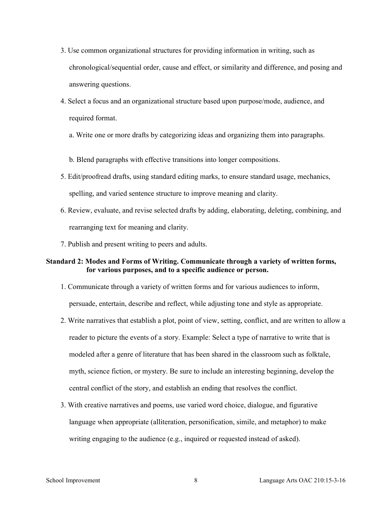- 3. Use common organizational structures for providing information in writing, such as chronological/sequential order, cause and effect, or similarity and difference, and posing and answering questions.
- 4. Select a focus and an organizational structure based upon purpose/mode, audience, and required format.
	- a. Write one or more drafts by categorizing ideas and organizing them into paragraphs.
	- b. Blend paragraphs with effective transitions into longer compositions.
- 5. Edit/proofread drafts, using standard editing marks, to ensure standard usage, mechanics, spelling, and varied sentence structure to improve meaning and clarity.
- 6. Review, evaluate, and revise selected drafts by adding, elaborating, deleting, combining, and rearranging text for meaning and clarity.
- 7. Publish and present writing to peers and adults.

## **Standard 2: Modes and Forms of Writing. Communicate through a variety of written forms, for various purposes, and to a specific audience or person.**

- 1. Communicate through a variety of written forms and for various audiences to inform, persuade, entertain, describe and reflect, while adjusting tone and style as appropriate.
- 2. Write narratives that establish a plot, point of view, setting, conflict, and are written to allow a reader to picture the events of a story. Example: Select a type of narrative to write that is modeled after a genre of literature that has been shared in the classroom such as folktale, myth, science fiction, or mystery. Be sure to include an interesting beginning, develop the central conflict of the story, and establish an ending that resolves the conflict.
- 3. With creative narratives and poems, use varied word choice, dialogue, and figurative language when appropriate (alliteration, personification, simile, and metaphor) to make writing engaging to the audience (e.g., inquired or requested instead of asked).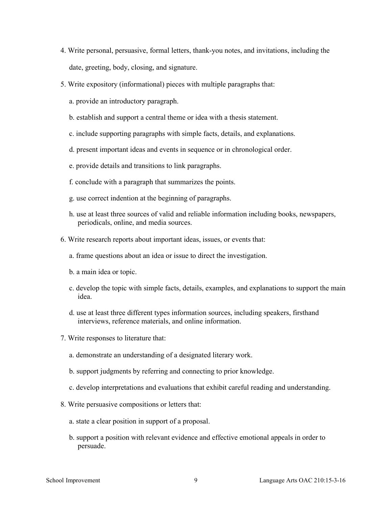- 4. Write personal, persuasive, formal letters, thank-you notes, and invitations, including the date, greeting, body, closing, and signature.
- 5. Write expository (informational) pieces with multiple paragraphs that:
	- a. provide an introductory paragraph.
	- b. establish and support a central theme or idea with a thesis statement.
	- c. include supporting paragraphs with simple facts, details, and explanations.
	- d. present important ideas and events in sequence or in chronological order.
	- e. provide details and transitions to link paragraphs.
	- f. conclude with a paragraph that summarizes the points.
	- g. use correct indention at the beginning of paragraphs.
	- h. use at least three sources of valid and reliable information including books, newspapers, periodicals, online, and media sources.
- 6. Write research reports about important ideas, issues, or events that:
	- a. frame questions about an idea or issue to direct the investigation.
	- b. a main idea or topic.
	- c. develop the topic with simple facts, details, examples, and explanations to support the main idea.
	- d. use at least three different types information sources, including speakers, firsthand interviews, reference materials, and online information.
- 7. Write responses to literature that:
	- a. demonstrate an understanding of a designated literary work.
	- b. support judgments by referring and connecting to prior knowledge.
	- c. develop interpretations and evaluations that exhibit careful reading and understanding.
- 8. Write persuasive compositions or letters that:
	- a. state a clear position in support of a proposal.
	- b. support a position with relevant evidence and effective emotional appeals in order to persuade.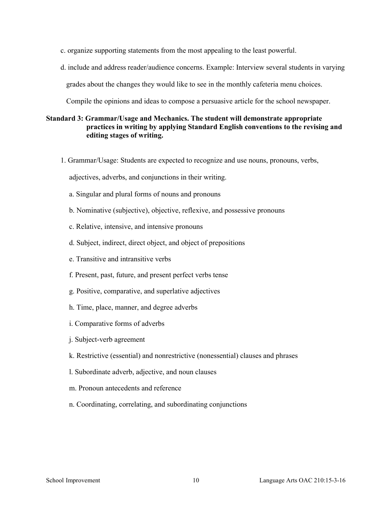- c. organize supporting statements from the most appealing to the least powerful.
- d. include and address reader/audience concerns. Example: Interview several students in varying grades about the changes they would like to see in the monthly cafeteria menu choices.

Compile the opinions and ideas to compose a persuasive article for the school newspaper.

# **Standard 3: Grammar/Usage and Mechanics. The student will demonstrate appropriate practices in writing by applying Standard English conventions to the revising and editing stages of writing.**

1. Grammar/Usage: Students are expected to recognize and use nouns, pronouns, verbs,

adjectives, adverbs, and conjunctions in their writing.

- a. Singular and plural forms of nouns and pronouns
- b. Nominative (subjective), objective, reflexive, and possessive pronouns
- c. Relative, intensive, and intensive pronouns
- d. Subject, indirect, direct object, and object of prepositions
- e. Transitive and intransitive verbs
- f. Present, past, future, and present perfect verbs tense
- g. Positive, comparative, and superlative adjectives
- h. Time, place, manner, and degree adverbs
- i. Comparative forms of adverbs
- j. Subject-verb agreement
- k. Restrictive (essential) and nonrestrictive (nonessential) clauses and phrases
- l. Subordinate adverb, adjective, and noun clauses
- m. Pronoun antecedents and reference
- n. Coordinating, correlating, and subordinating conjunctions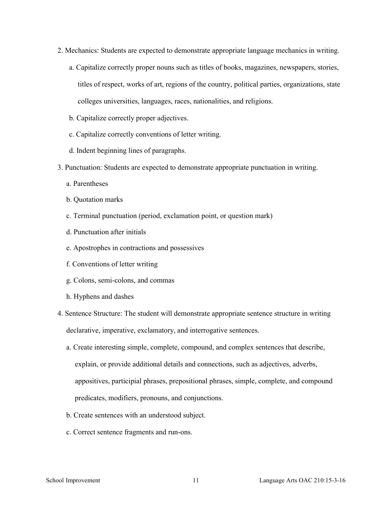- 2. Mechanics: Students are expected to demonstrate appropriate language mechanics in writing.
	- a. Capitalize correctly proper nouns such as titles of books, magazines, newspapers, stories, titles of respect, works of art, regions of the country, political parties, organizations, state colleges universities, languages, races, nationalities, and religions.
	- b. Capitalize correctly proper adjectives.
	- c. Capitalize correctly conventions of letter writing.
	- d. Indent beginning lines of paragraphs.
- 3. Punctuation: Students are expected to demonstrate appropriate punctuation in writing.
	- a. Parentheses
	- b. Quotation marks
	- c. Terminal punctuation (period, exclamation point, or question mark)
	- d. Punctuation after initials
	- e. Apostrophes in contractions and possessives
	- f. Conventions of letter writing
	- g. Colons, semi-colons, and commas
	- h. Hyphens and dashes
- 4. Sentence Structure: The student will demonstrate appropriate sentence structure in writing declarative, imperative, exclamatory, and interrogative sentences.
	- a. Create interesting simple, complete, compound, and complex sentences that describe, explain, or provide additional details and connections, such as adjectives, adverbs, appositives, participial phrases, prepositional phrases, simple, complete, and compound predicates, modifiers, pronouns, and conjunctions.
	- b. Create sentences with an understood subject.
	- c. Correct sentence fragments and run-ons.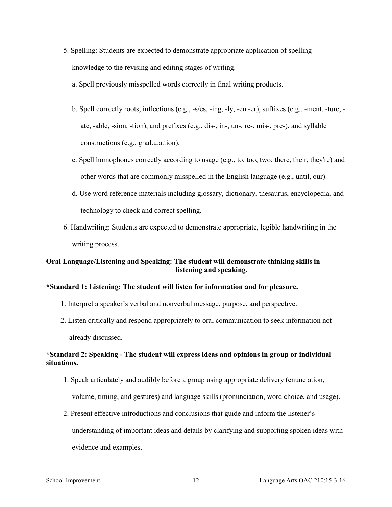- 5. Spelling: Students are expected to demonstrate appropriate application of spelling knowledge to the revising and editing stages of writing.
	- a. Spell previously misspelled words correctly in final writing products.
	- b. Spell correctly roots, inflections (e.g., -s/es, -ing, -ly, -en -er), suffixes (e.g., -ment, -ture, ate, -able, -sion, -tion), and prefixes (e.g., dis-, in-, un-, re-, mis-, pre-), and syllable constructions (e.g., grad.u.a.tion).
	- c. Spell homophones correctly according to usage (e.g., to, too, two; there, their, they're) and other words that are commonly misspelled in the English language (e.g., until, our).
	- d. Use word reference materials including glossary, dictionary, thesaurus, encyclopedia, and technology to check and correct spelling.
- 6. Handwriting: Students are expected to demonstrate appropriate, legible handwriting in the writing process.

# **Oral Language/Listening and Speaking: The student will demonstrate thinking skills in listening and speaking.**

## **\*Standard 1: Listening: The student will listen for information and for pleasure.**

- 1. Interpret a speaker's verbal and nonverbal message, purpose, and perspective.
- 2. Listen critically and respond appropriately to oral communication to seek information not already discussed.

# **\*Standard 2: Speaking - The student will express ideas and opinions in group or individual situations.**

- 1. Speak articulately and audibly before a group using appropriate delivery (enunciation, volume, timing, and gestures) and language skills (pronunciation, word choice, and usage).
- 2. Present effective introductions and conclusions that guide and inform the listener's understanding of important ideas and details by clarifying and supporting spoken ideas with evidence and examples.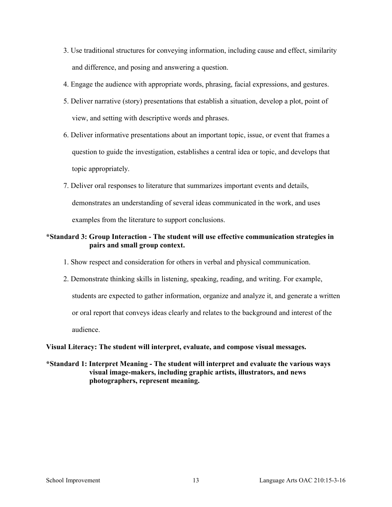- 3. Use traditional structures for conveying information, including cause and effect, similarity and difference, and posing and answering a question.
- 4. Engage the audience with appropriate words, phrasing, facial expressions, and gestures.
- 5. Deliver narrative (story) presentations that establish a situation, develop a plot, point of view, and setting with descriptive words and phrases.
- 6. Deliver informative presentations about an important topic, issue, or event that frames a question to guide the investigation, establishes a central idea or topic, and develops that topic appropriately.
- 7. Deliver oral responses to literature that summarizes important events and details, demonstrates an understanding of several ideas communicated in the work, and uses examples from the literature to support conclusions.

# **\*Standard 3: Group Interaction - The student will use effective communication strategies in pairs and small group context.**

- 1. Show respect and consideration for others in verbal and physical communication.
- 2. Demonstrate thinking skills in listening, speaking, reading, and writing. For example, students are expected to gather information, organize and analyze it, and generate a written or oral report that conveys ideas clearly and relates to the background and interest of the audience.

## **Visual Literacy: The student will interpret, evaluate, and compose visual messages.**

**\*Standard 1: Interpret Meaning - The student will interpret and evaluate the various ways visual image-makers, including graphic artists, illustrators, and news photographers, represent meaning.**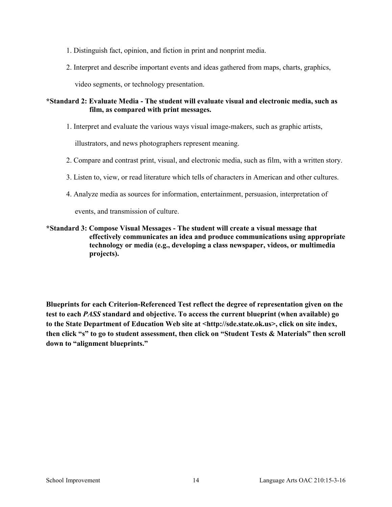- 1. Distinguish fact, opinion, and fiction in print and nonprint media.
- 2. Interpret and describe important events and ideas gathered from maps, charts, graphics,

video segments, or technology presentation.

## **\*Standard 2: Evaluate Media - The student will evaluate visual and electronic media, such as film, as compared with print messages.**

1. Interpret and evaluate the various ways visual image-makers, such as graphic artists,

illustrators, and news photographers represent meaning.

- 2. Compare and contrast print, visual, and electronic media, such as film, with a written story.
- 3. Listen to, view, or read literature which tells of characters in American and other cultures.
- 4. Analyze media as sources for information, entertainment, persuasion, interpretation of

events, and transmission of culture.

## **\*Standard 3: Compose Visual Messages - The student will create a visual message that effectively communicates an idea and produce communications using appropriate technology or media (e.g., developing a class newspaper, videos, or multimedia projects).**

**Blueprints for each Criterion-Referenced Test reflect the degree of representation given on the test to each** *PASS* **standard and objective. To access the current blueprint (when available) go to the State Department of Education Web site at <http://sde.state.ok.us>, click on site index, then click "s" to go to student assessment, then click on "Student Tests & Materials" then scroll down to "alignment blueprints."**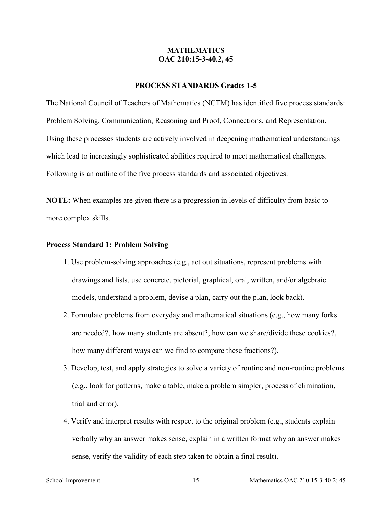## **MATHEMATICS OAC 210:15-3-40.2, 45**

## **PROCESS STANDARDS Grades 1-5**

The National Council of Teachers of Mathematics (NCTM) has identified five process standards: Problem Solving, Communication, Reasoning and Proof, Connections, and Representation. Using these processes students are actively involved in deepening mathematical understandings which lead to increasingly sophisticated abilities required to meet mathematical challenges. Following is an outline of the five process standards and associated objectives.

**NOTE:** When examples are given there is a progression in levels of difficulty from basic to more complex skills.

#### **Process Standard 1: Problem Solving**

- 1. Use problem-solving approaches (e.g., act out situations, represent problems with drawings and lists, use concrete, pictorial, graphical, oral, written, and/or algebraic models, understand a problem, devise a plan, carry out the plan, look back).
- 2. Formulate problems from everyday and mathematical situations (e.g., how many forks are needed?, how many students are absent?, how can we share/divide these cookies?, how many different ways can we find to compare these fractions?).
- 3. Develop, test, and apply strategies to solve a variety of routine and non-routine problems (e.g., look for patterns, make a table, make a problem simpler, process of elimination, trial and error).
- 4. Verify and interpret results with respect to the original problem (e.g., students explain verbally why an answer makes sense, explain in a written format why an answer makes sense, verify the validity of each step taken to obtain a final result).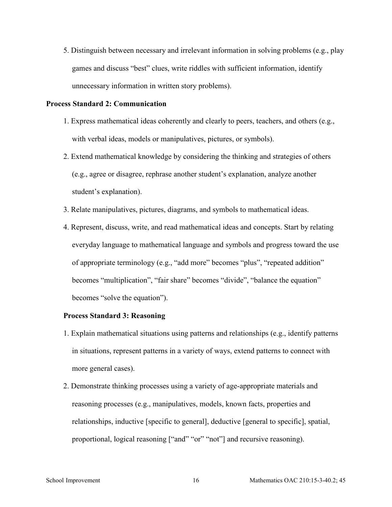5. Distinguish between necessary and irrelevant information in solving problems (e.g., play games and discuss "best" clues, write riddles with sufficient information, identify unnecessary information in written story problems).

#### **Process Standard 2: Communication**

- 1. Express mathematical ideas coherently and clearly to peers, teachers, and others (e.g., with verbal ideas, models or manipulatives, pictures, or symbols).
- 2. Extend mathematical knowledge by considering the thinking and strategies of others (e.g., agree or disagree, rephrase another student's explanation, analyze another student's explanation).
- 3. Relate manipulatives, pictures, diagrams, and symbols to mathematical ideas.
- 4. Represent, discuss, write, and read mathematical ideas and concepts. Start by relating everyday language to mathematical language and symbols and progress toward the use of appropriate terminology (e.g., "add more" becomes "plus", "repeated addition" becomes "multiplication", "fair share" becomes "divide", "balance the equation" becomes "solve the equation").

#### **Process Standard 3: Reasoning**

- 1. Explain mathematical situations using patterns and relationships (e.g., identify patterns in situations, represent patterns in a variety of ways, extend patterns to connect with more general cases).
- 2. Demonstrate thinking processes using a variety of age-appropriate materials and reasoning processes (e.g., manipulatives, models, known facts, properties and relationships, inductive [specific to general], deductive [general to specific], spatial, proportional, logical reasoning ["and" "or" "not"] and recursive reasoning).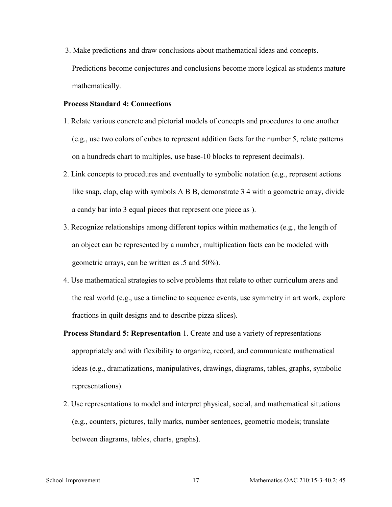3. Make predictions and draw conclusions about mathematical ideas and concepts. Predictions become conjectures and conclusions become more logical as students mature mathematically.

#### **Process Standard 4: Connections**

- 1. Relate various concrete and pictorial models of concepts and procedures to one another (e.g., use two colors of cubes to represent addition facts for the number 5, relate patterns on a hundreds chart to multiples, use base-10 blocks to represent decimals).
- 2. Link concepts to procedures and eventually to symbolic notation (e.g., represent actions like snap, clap, clap with symbols A B B, demonstrate 3 4 with a geometric array, divide a candy bar into 3 equal pieces that represent one piece as ).
- 3. Recognize relationships among different topics within mathematics (e.g., the length of an object can be represented by a number, multiplication facts can be modeled with geometric arrays, can be written as .5 and 50%).
- 4. Use mathematical strategies to solve problems that relate to other curriculum areas and the real world (e.g., use a timeline to sequence events, use symmetry in art work, explore fractions in quilt designs and to describe pizza slices).
- **Process Standard 5: Representation** 1. Create and use a variety of representations appropriately and with flexibility to organize, record, and communicate mathematical ideas (e.g., dramatizations, manipulatives, drawings, diagrams, tables, graphs, symbolic representations).
- 2. Use representations to model and interpret physical, social, and mathematical situations (e.g., counters, pictures, tally marks, number sentences, geometric models; translate between diagrams, tables, charts, graphs).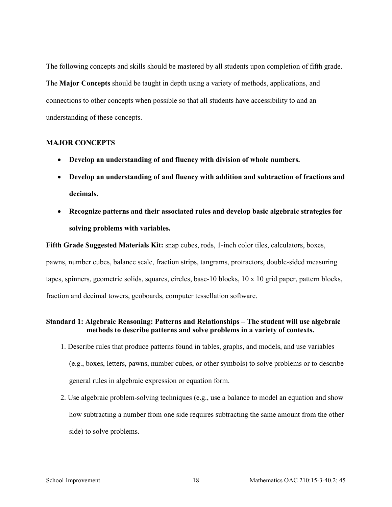The following concepts and skills should be mastered by all students upon completion of fifth grade. The **Major Concepts** should be taught in depth using a variety of methods, applications, and connections to other concepts when possible so that all students have accessibility to and an understanding of these concepts.

#### **MAJOR CONCEPTS**

- **Develop an understanding of and fluency with division of whole numbers.**
- **Develop an understanding of and fluency with addition and subtraction of fractions and decimals.**
- **Recognize patterns and their associated rules and develop basic algebraic strategies for solving problems with variables.**

**Fifth Grade Suggested Materials Kit:** snap cubes, rods, 1-inch color tiles, calculators, boxes,

pawns, number cubes, balance scale, fraction strips, tangrams, protractors, double-sided measuring tapes, spinners, geometric solids, squares, circles, base-10 blocks, 10 x 10 grid paper, pattern blocks, fraction and decimal towers, geoboards, computer tessellation software.

## **Standard 1: Algebraic Reasoning: Patterns and Relationships – The student will use algebraic methods to describe patterns and solve problems in a variety of contexts.**

- 1. Describe rules that produce patterns found in tables, graphs, and models, and use variables (e.g., boxes, letters, pawns, number cubes, or other symbols) to solve problems or to describe general rules in algebraic expression or equation form.
- 2. Use algebraic problem-solving techniques (e.g., use a balance to model an equation and show how subtracting a number from one side requires subtracting the same amount from the other side) to solve problems.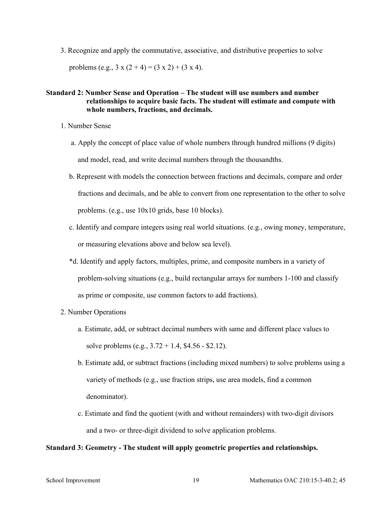3. Recognize and apply the commutative, associative, and distributive properties to solve

problems (e.g.,  $3 \times (2 + 4) = (3 \times 2) + (3 \times 4)$ .

## **Standard 2: Number Sense and Operation – The student will use numbers and number relationships to acquire basic facts. The student will estimate and compute with whole numbers, fractions, and decimals.**

- 1. Number Sense
	- a. Apply the concept of place value of whole numbers through hundred millions (9 digits) and model, read, and write decimal numbers through the thousandths.
	- b. Represent with models the connection between fractions and decimals, compare and order fractions and decimals, and be able to convert from one representation to the other to solve problems. (e.g., use 10x10 grids, base 10 blocks).
	- c. Identify and compare integers using real world situations. (e.g., owing money, temperature, or measuring elevations above and below sea level).
	- \*d. Identify and apply factors, multiples, prime, and composite numbers in a variety of problem-solving situations (e.g., build rectangular arrays for numbers 1-100 and classify as prime or composite, use common factors to add fractions).
- 2. Number Operations
	- a. Estimate, add, or subtract decimal numbers with same and different place values to solve problems (e.g., 3.72 + 1.4, \$4.56 - \$2.12).
	- b. Estimate add, or subtract fractions (including mixed numbers) to solve problems using a variety of methods (e.g., use fraction strips, use area models, find a common denominator).
	- c. Estimate and find the quotient (with and without remainders) with two-digit divisors and a two- or three-digit dividend to solve application problems.

#### **Standard 3: Geometry - The student will apply geometric properties and relationships.**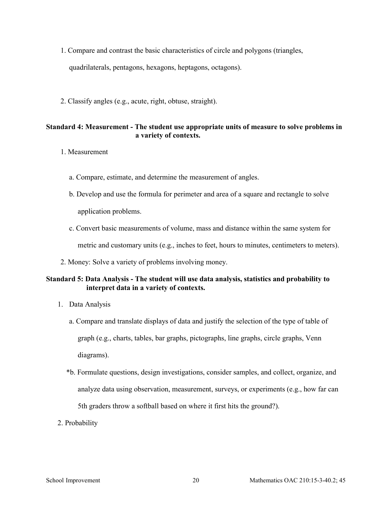- 1. Compare and contrast the basic characteristics of circle and polygons (triangles, quadrilaterals, pentagons, hexagons, heptagons, octagons).
- 2. Classify angles (e.g., acute, right, obtuse, straight).

## **Standard 4: Measurement - The student use appropriate units of measure to solve problems in a variety of contexts.**

- 1. Measurement
	- a. Compare, estimate, and determine the measurement of angles.
	- b. Develop and use the formula for perimeter and area of a square and rectangle to solve application problems.
	- c. Convert basic measurements of volume, mass and distance within the same system for metric and customary units (e.g., inches to feet, hours to minutes, centimeters to meters).
- 2. Money: Solve a variety of problems involving money.

# **Standard 5: Data Analysis - The student will use data analysis, statistics and probability to interpret data in a variety of contexts.**

- 1. Data Analysis
	- a. Compare and translate displays of data and justify the selection of the type of table of graph (e.g., charts, tables, bar graphs, pictographs, line graphs, circle graphs, Venn diagrams).
	- \*b. Formulate questions, design investigations, consider samples, and collect, organize, and analyze data using observation, measurement, surveys, or experiments (e.g., how far can 5th graders throw a softball based on where it first hits the ground?).
- 2. Probability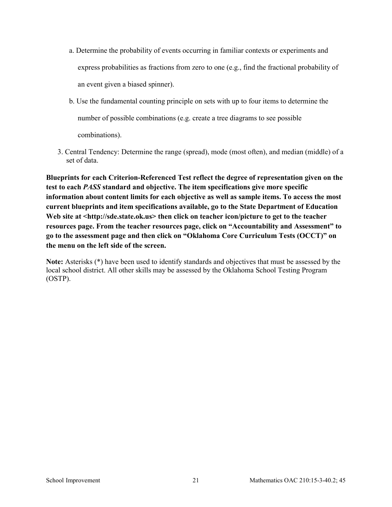- a. Determine the probability of events occurring in familiar contexts or experiments and express probabilities as fractions from zero to one (e.g., find the fractional probability of an event given a biased spinner).
- b. Use the fundamental counting principle on sets with up to four items to determine the number of possible combinations (e.g. create a tree diagrams to see possible combinations).
- 3. Central Tendency: Determine the range (spread), mode (most often), and median (middle) of a set of data.

**Blueprints for each Criterion-Referenced Test reflect the degree of representation given on the test to each** *PASS* **standard and objective. The item specifications give more specific information about content limits for each objective as well as sample items. To access the most current blueprints and item specifications available, go to the State Department of Education**  Web site at <http://sde.state.ok.us> then click on teacher icon/picture to get to the teacher **resources page. From the teacher resources page, click on "Accountability and Assessment" to go to the assessment page and then click on "Oklahoma Core Curriculum Tests (OCCT)" on the menu on the left side of the screen.**

**Note:** Asterisks (\*) have been used to identify standards and objectives that must be assessed by the local school district. All other skills may be assessed by the Oklahoma School Testing Program (OSTP).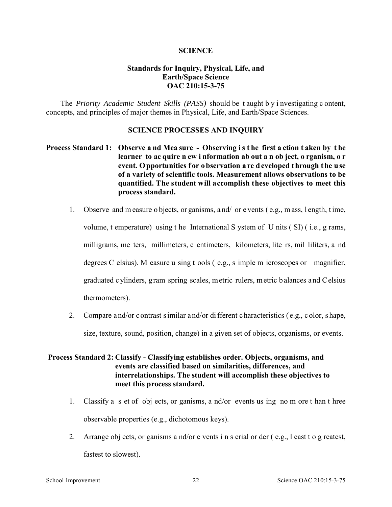#### **SCIENCE**

# **Standards for Inquiry, Physical, Life, and Earth/Space Science OAC 210:15-3-75**

The *Priority Academic Student Skills (PASS)* should be t aught b y i nvestigating c ontent, concepts, and principles of major themes in Physical, Life, and Earth/Space Sciences.

## **SCIENCE PROCESSES AND INQUIRY**

# **Process Standard 1: Observe a nd Mea sure - Observing i s t he first a ction t aken by t he learner to ac quire n ew i nformation ab out a n ob ject, o rganism, o r**  event. O pportunities for o bservation a re d eveloped through the use **of a variety of scientific tools. Measurement allows observations to be quantified. The student will accomplish these objectives to meet this process standard.**

- 1. Observe and m easure o bjects, or ganisms, a nd/ or e vents ( e.g., m ass, l ength, t ime, volume, t emperature) using t he International S ystem of U nits ( SI) ( i.e., g rams, milligrams, me ters, millimeters, c entimeters, kilometers, lite rs, mil liliters, a nd degrees C elsius). M easure u sing t ools ( e.g., s imple m icroscopes or magnifier, graduated c ylinders, gram spring scales, metric rulers, metric balances and Celsius thermometers).
- 2. Compare a nd/or c ontrast s imilar a nd/or di fferent c haracteristics ( e.g., c olor, s hape, size, texture, sound, position, change) in a given set of objects, organisms, or events.

# **Process Standard 2: Classify - Classifying establishes order. Objects, organisms, and events are classified based on similarities, differences, and interrelationships. The student will accomplish these objectives to meet this process standard.**

- 1. Classify a s et of obj ects, or ganisms, a nd/or events us ing no m ore t han t hree observable properties (e.g., dichotomous keys).
- 2. Arrange obj ects, or ganisms a nd/or e vents i n s erial or der ( e.g., l east t o g reatest, fastest to slowest).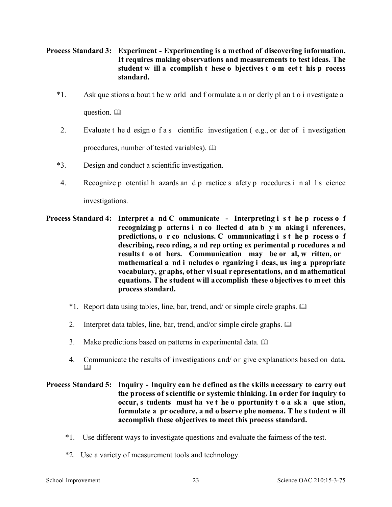# **Process Standard 3: Experiment - Experimenting is a method of discovering information. It requires making observations and measurements to test ideas. The student w ill a ccomplish t hese o bjectives t o m eet t his p rocess standard.**

- \*1. Ask que stions a bout t he w orld and f ormulate a n or derly pl an t o i nvestigate a question.  $\square$
- 2. Evaluate t he d esign o f a s cientific investigation ( e.g., or der of i nvestigation procedures, number of tested variables).
- \*3. Design and conduct a scientific investigation.
- 4. Recognize p otential h azards and p ractice s afety p rocedures i n al 1 s cience investigations.
- **Process Standard 4: Interpret a nd C ommunicate Interpreting i s t he p rocess o f recognizing p atterns i n co llected d ata b y m aking i nferences, predictions, o r co nclusions. C ommunicating i s t he p rocess o f describing, reco rding, a nd rep orting ex perimental p rocedures a nd results t o ot hers. Communication may be or al, w ritten, or mathematical a nd i ncludes o rganizing i deas, us ing a ppropriate vocabulary, gr aphs, ot her vi sual r epresentations, an d m athematical equations. The student will accomplish these objectives to meet this process standard.** 
	- \*1. Report data using tables, line, bar, trend, and/ or simple circle graphs.
	- 2. Interpret data tables, line, bar, trend, and/or simple circle graphs.  $\Box$
	- 3. Make predictions based on patterns in experimental data.
	- 4. Communicate the results of investigations and/ or give explanations based on data.  $\Box$

# **Process Standard 5: Inquiry - Inquiry can be defined as the skills necessary to carry out the process of scientific or systemic thinking. In order for inquiry to occur, s tudents must ha ve t he o pportunity t o a sk a que stion, formulate a pr ocedure, a nd o bserve phe nomena. T he s tudent w ill accomplish these objectives to meet this process standard.**

- \*1. Use different ways to investigate questions and evaluate the fairness of the test.
- \*2. Use a variety of measurement tools and technology.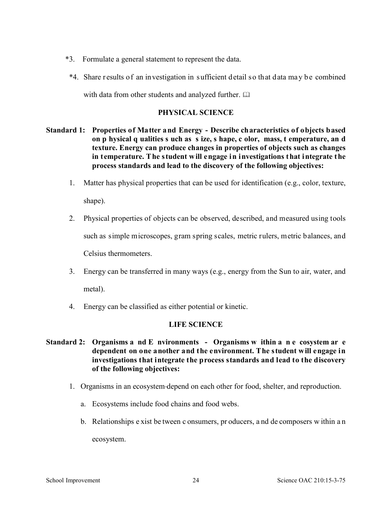- \*3. Formulate a general statement to represent the data.
- \*4. Share r esults of an investigation in sufficient detail so that data ma y b e combined with data from other students and analyzed further.  $\square$

# **PHYSICAL SCIENCE**

- **Standard 1: Properties of Matter and Energy Describe characteristics of objects based on p hysical q ualities s uch as s ize, s hape, c olor, mass, t emperature, an d texture. Energy can produce changes in properties of objects such as changes in temperature. The student will engage in investigations that integrate the process standards and lead to the discovery of the following objectives:** 
	- 1. Matter has physical properties that can be used for identification (e.g., color, texture, shape).
	- 2. Physical properties of objects can be observed, described, and measured using tools such as simple microscopes, gram spring scales, metric rulers, metric balances, and Celsius thermometers.
	- 3. Energy can be transferred in many ways (e.g., energy from the Sun to air, water, and metal).
	- 4. Energy can be classified as either potential or kinetic.

# **LIFE SCIENCE**

- **Standard 2: Organisms a nd E nvironments Organisms w ithin a n e cosystem ar e dependent on one another and the environment. The student will engage in investigations that integrate the process standards and lead to the discovery of the following objectives:** 
	- 1. Organisms in an ecosystem depend on each other for food, shelter, and reproduction.
		- a. Ecosystems include food chains and food webs.
		- b. Relationships e xist be tween c onsumers, pr oducers, a nd de composers w ithin a n ecosystem.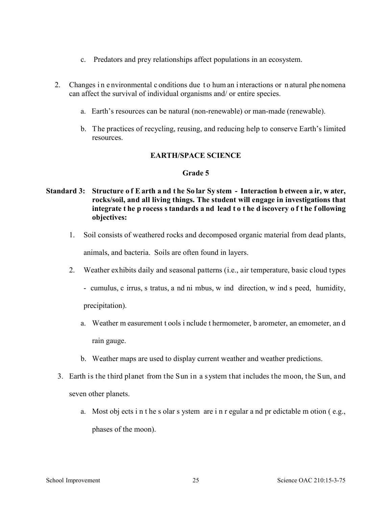- c. Predators and prey relationships affect populations in an ecosystem.
- 2. Changes in e nvironmental c onditions due to hum an interactions or n atural phe nomena can affect the survival of individual organisms and/ or entire species.
	- a. Earth's resources can be natural (non-renewable) or man-made (renewable).
	- b. The practices of recycling, reusing, and reducing help to conserve Earth's limited resources.

# **EARTH/SPACE SCIENCE**

# **Grade 5**

# **Standard 3: Structure o f E arth a nd t he So lar Sy stem - Interaction b etween a ir, w ater, rocks/soil, and all living things. The student will engage in investigations that integrate t he p rocess s tandards a nd lead t o t he d iscovery o f t he f ollowing objectives:**

 1. Soil consists of weathered rocks and decomposed organic material from dead plants, animals, and bacteria. Soils are often found in layers.

2. Weather exhibits daily and seasonal patterns (i.e., air temperature, basic cloud types

- cumulus, c irrus, s tratus, a nd ni mbus, w ind direction, w ind s peed, humidity, precipitation).

- a. Weather m easurement t ools i nclude t hermometer, b arometer, an emometer, an d rain gauge.
- b. Weather maps are used to display current weather and weather predictions.
- 3. Earth is the third planet from the Sun in a system that includes the moon, the Sun, and seven other planets.
	- a. Most obj ects i n t he s olar s ystem are i n r egular a nd pr edictable m otion ( e.g., phases of the moon).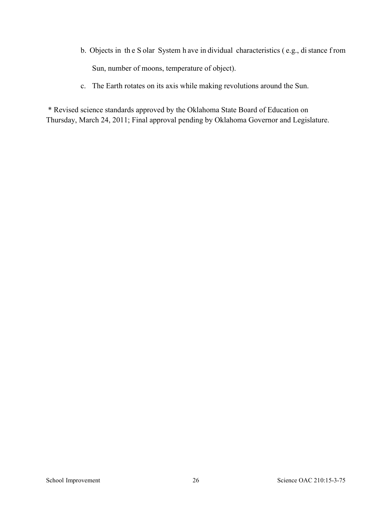- b. Objects in th e S olar System h ave in dividual characteristics ( e.g., di stance f rom Sun, number of moons, temperature of object).
- c. The Earth rotates on its axis while making revolutions around the Sun.

\* Revised science standards approved by the Oklahoma State Board of Education on Thursday, March 24, 2011; Final approval pending by Oklahoma Governor and Legislature.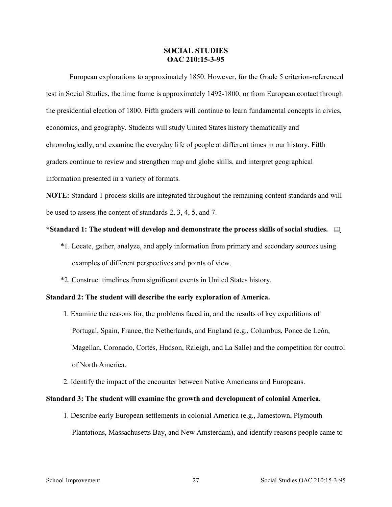#### **SOCIAL STUDIES OAC 210:15-3-95**

European explorations to approximately 1850. However, for the Grade 5 criterion-referenced test in Social Studies, the time frame is approximately 1492-1800, or from European contact through the presidential election of 1800. Fifth graders will continue to learn fundamental concepts in civics, economics, and geography. Students will study United States history thematically and chronologically, and examine the everyday life of people at different times in our history. Fifth graders continue to review and strengthen map and globe skills, and interpret geographical information presented in a variety of formats.

**NOTE:** Standard 1 process skills are integrated throughout the remaining content standards and will be used to assess the content of standards 2, 3, 4, 5, and 7.

## **\*Standard 1: The student will develop and demonstrate the process skills of social studies.**

- \*1. Locate, gather, analyze, and apply information from primary and secondary sources using examples of different perspectives and points of view.
- \*2. Construct timelines from significant events in United States history.

#### **Standard 2: The student will describe the early exploration of America.**

- 1. Examine the reasons for, the problems faced in, and the results of key expeditions of Portugal, Spain, France, the Netherlands, and England (e.g., Columbus, Ponce de León, Magellan, Coronado, Cortés, Hudson, Raleigh, and La Salle) and the competition for control of North America.
- 2. Identify the impact of the encounter between Native Americans and Europeans.

## **Standard 3: The student will examine the growth and development of colonial America***.*

1. Describe early European settlements in colonial America (e.g., Jamestown, Plymouth Plantations, Massachusetts Bay, and New Amsterdam), and identify reasons people came to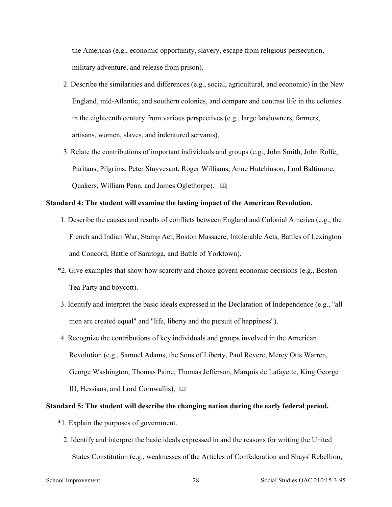the Americas (e.g., economic opportunity, slavery, escape from religious persecution, military adventure, and release from prison).

- 2. Describe the similarities and differences (e.g., social, agricultural, and economic) in the New England, mid-Atlantic, and southern colonies, and compare and contrast life in the colonies in the eighteenth century from various perspectives  $(e.g., large landowners, farmers,$ artisans, women, slaves, and indentured servants).
- 3. Relate the contributions of important individuals and groups (e.g., John Smith, John Rolfe, Puritans, Pilgrims, Peter Stuyvesant, Roger Williams, Anne Hutchinson, Lord Baltimore, Quakers, William Penn, and James Oglethorpe).

#### **Standard 4: The student will examine the lasting impact of the American Revolution.**

- 1. Describe the causes and results of conflicts between England and Colonial America (e.g., the French and Indian War, Stamp Act, Boston Massacre, Intolerable Acts, Battles of Lexington and Concord, Battle of Saratoga, and Battle of Yorktown).
- \*2. Give examples that show how scarcity and choice govern economic decisions (e.g., Boston Tea Party and boycott).
- 3. Identify and interpret the basic ideals expressed in the Declaration of Independence (e.g., "all men are created equal" and "life, liberty and the pursuit of happiness").
- 4. Recognize the contributions of key individuals and groups involved in the American Revolution (e.g., Samuel Adams, the Sons of Liberty, Paul Revere, Mercy Otis Warren, George Washington, Thomas Paine, Thomas Jefferson, Marquis de Lafayette, King George III, Hessians, and Lord Cornwallis).

## **Standard 5: The student will describe the changing nation during the early federal period.**

- \*1. Explain the purposes of government.
	- 2. Identify and interpret the basic ideals expressed in and the reasons for writing the United States Constitution (e.g., weaknesses of the Articles of Confederation and Shays' Rebellion,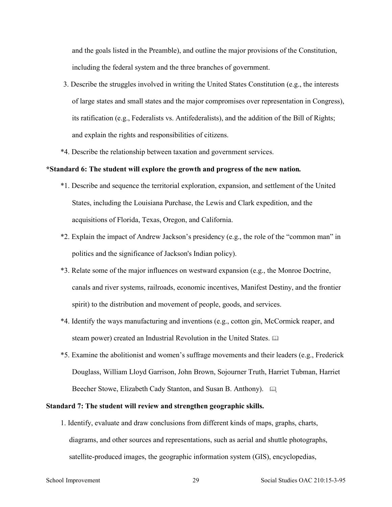and the goals listed in the Preamble), and outline the major provisions of the Constitution, including the federal system and the three branches of government.

- 3. Describe the struggles involved in writing the United States Constitution (e.g., the interests of large states and small states and the major compromises over representation in Congress), its ratification (e.g., Federalists vs. Antifederalists), and the addition of the Bill of Rights; and explain the rights and responsibilities of citizens.
- \*4. Describe the relationship between taxation and government services.

#### **\*Standard 6: The student will explore the growth and progress of the new nation***.*

- \*1. Describe and sequence the territorial exploration, expansion, and settlement of the United States, including the Louisiana Purchase, the Lewis and Clark expedition, and the acquisitions of Florida, Texas, Oregon, and California.
- \*2. Explain the impact of Andrew Jackson's presidency (e.g., the role of the "common man" in politics and the significance of Jackson's Indian policy).
- \*3. Relate some of the major influences on westward expansion (e.g., the Monroe Doctrine, canals and river systems, railroads, economic incentives, Manifest Destiny, and the frontier spirit) to the distribution and movement of people, goods, and services.
- \*4. Identify the ways manufacturing and inventions (e.g., cotton gin, McCormick reaper, and steam power) created an Industrial Revolution in the United States.  $\square$
- \*5. Examine the abolitionist and women's suffrage movements and their leaders (e.g., Frederick Douglass, William Lloyd Garrison, John Brown, Sojourner Truth, Harriet Tubman, Harriet Beecher Stowe, Elizabeth Cady Stanton, and Susan B. Anthony).

## **Standard 7: The student will review and strengthen geographic skills.**

1. Identify, evaluate and draw conclusions from different kinds of maps, graphs, charts, diagrams, and other sources and representations, such as aerial and shuttle photographs, satellite-produced images, the geographic information system (GIS), encyclopedias,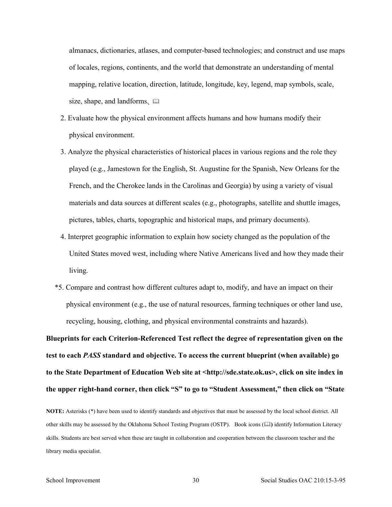almanacs, dictionaries, atlases, and computer-based technologies; and construct and use maps of locales, regions, continents, and the world that demonstrate an understanding of mental mapping, relative location, direction, latitude, longitude, key, legend, map symbols, scale, size, shape, and landforms.  $\Box$ 

- 2. Evaluate how the physical environment affects humans and how humans modify their physical environment.
- 3. Analyze the physical characteristics of historical places in various regions and the role they played (e.g., Jamestown for the English, St. Augustine for the Spanish, New Orleans for the French, and the Cherokee lands in the Carolinas and Georgia) by using a variety of visual materials and data sources at different scales (e.g., photographs, satellite and shuttle images, pictures, tables, charts, topographic and historical maps, and primary documents).
- 4. Interpret geographic information to explain how society changed as the population of the United States moved west, including where Native Americans lived and how they made their living.
- \*5. Compare and contrast how different cultures adapt to, modify, and have an impact on their physical environment (e.g., the use of natural resources, farming techniques or other land use, recycling, housing, clothing, and physical environmental constraints and hazards).

**Blueprints for each Criterion-Referenced Test reflect the degree of representation given on the test to each** *PASS* **standard and objective. To access the current blueprint (when available) go to the State Department of Education Web site at <http://sde.state.ok.us>, click on site index in the upper right-hand corner, then click "S" to go to "Student Assessment," then click on "State** 

**NOTE:** Asterisks (\*) have been used to identify standards and objectives that must be assessed by the local school district. All other skills may be assessed by the Oklahoma School Testing Program (OSTP). Book icons (**Q)** identify Information Literacy skills. Students are best served when these are taught in collaboration and cooperation between the classroom teacher and the library media specialist.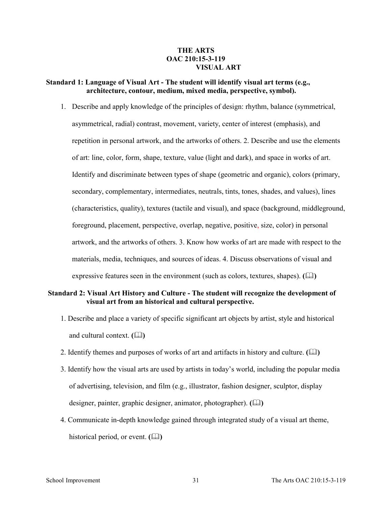## **THE ARTS OAC 210:15-3-119 VISUAL ART**

## **Standard 1: Language of Visual Art - The student will identify visual art terms (e.g., architecture, contour, medium, mixed media, perspective, symbol).**

1. Describe and apply knowledge of the principles of design: rhythm, balance (symmetrical, asymmetrical, radial) contrast, movement, variety, center of interest (emphasis), and repetition in personal artwork, and the artworks of others. 2. Describe and use the elements of art: line, color, form, shape, texture, value (light and dark), and space in works of art. Identify and discriminate between types of shape (geometric and organic), colors (primary, secondary, complementary, intermediates, neutrals, tints, tones, shades, and values), lines (characteristics, quality), textures (tactile and visual), and space (background, middleground, foreground, placement, perspective, overlap, negative, positive, size, color) in personal artwork, and the artworks of others. 3. Know how works of art are made with respect to the materials, media, techniques, and sources of ideas. 4. Discuss observations of visual and expressive features seen in the environment (such as colors, textures, shapes). **()** 

#### **Standard 2: Visual Art History and Culture - The student will recognize the development of visual art from an historical and cultural perspective.**

- 1. Describe and place a variety of specific significant art objects by artist, style and historical and cultural context.  $(\Box)$
- 2. Identify themes and purposes of works of art and artifacts in history and culture. **()**
- 3. Identify how the visual arts are used by artists in today's world, including the popular media of advertising, television, and film (e.g., illustrator, fashion designer, sculptor, display designer, painter, graphic designer, animator, photographer). **()**
- 4. Communicate in-depth knowledge gained through integrated study of a visual art theme, historical period, or event.  $(\Box)$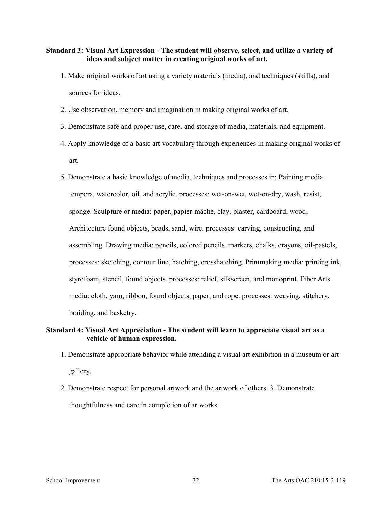## **Standard 3: Visual Art Expression - The student will observe, select, and utilize a variety of ideas and subject matter in creating original works of art.**

- 1. Make original works of art using a variety materials (media), and techniques (skills), and sources for ideas.
- 2. Use observation, memory and imagination in making original works of art.
- 3. Demonstrate safe and proper use, care, and storage of media, materials, and equipment.
- 4. Apply knowledge of a basic art vocabulary through experiences in making original works of art.
- 5. Demonstrate a basic knowledge of media, techniques and processes in: Painting media: tempera, watercolor, oil, and acrylic. processes: wet-on-wet, wet-on-dry, wash, resist, sponge. Sculpture or media: paper, papier-mâché, clay, plaster, cardboard, wood, Architecture found objects, beads, sand, wire. processes: carving, constructing, and assembling. Drawing media: pencils, colored pencils, markers, chalks, crayons, oil-pastels, processes: sketching, contour line, hatching, crosshatching. Printmaking media: printing ink, styrofoam, stencil, found objects. processes: relief, silkscreen, and monoprint. Fiber Arts media: cloth, yarn, ribbon, found objects, paper, and rope. processes: weaving, stitchery, braiding, and basketry.

## **Standard 4: Visual Art Appreciation - The student will learn to appreciate visual art as a vehicle of human expression.**

- 1. Demonstrate appropriate behavior while attending a visual art exhibition in a museum or art gallery.
- 2. Demonstrate respect for personal artwork and the artwork of others. 3. Demonstrate thoughtfulness and care in completion of artworks.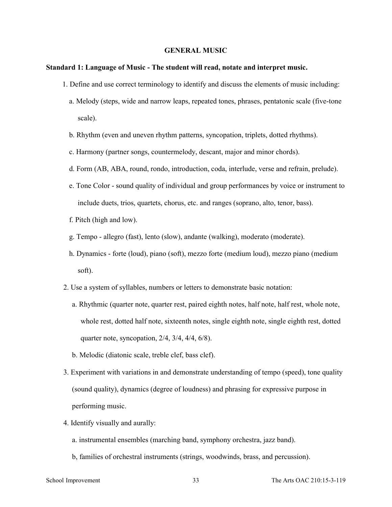#### **GENERAL MUSIC**

#### **Standard 1: Language of Music - The student will read, notate and interpret music.**

- 1. Define and use correct terminology to identify and discuss the elements of music including:
	- a. Melody (steps, wide and narrow leaps, repeated tones, phrases, pentatonic scale (five-tone scale).
	- b. Rhythm (even and uneven rhythm patterns, syncopation, triplets, dotted rhythms).
	- c. Harmony (partner songs, countermelody, descant, major and minor chords).
	- d. Form (AB, ABA, round, rondo, introduction, coda, interlude, verse and refrain, prelude).
	- e. Tone Color sound quality of individual and group performances by voice or instrument to include duets, trios, quartets, chorus, etc. and ranges (soprano, alto, tenor, bass).
	- f. Pitch (high and low).
	- g. Tempo allegro (fast), lento (slow), andante (walking), moderato (moderate).
	- h. Dynamics forte (loud), piano (soft), mezzo forte (medium loud), mezzo piano (medium soft).
- 2. Use a system of syllables, numbers or letters to demonstrate basic notation:
	- a. Rhythmic (quarter note, quarter rest, paired eighth notes, half note, half rest, whole note, whole rest, dotted half note, sixteenth notes, single eighth note, single eighth rest, dotted quarter note, syncopation, 2/4, 3/4, 4/4, 6/8).
	- b. Melodic (diatonic scale, treble clef, bass clef).
- 3. Experiment with variations in and demonstrate understanding of tempo (speed), tone quality (sound quality), dynamics (degree of loudness) and phrasing for expressive purpose in performing music.
- 4. Identify visually and aurally:
	- a. instrumental ensembles (marching band, symphony orchestra, jazz band).
	- b, families of orchestral instruments (strings, woodwinds, brass, and percussion).

School Improvement 33 The Arts OAC 210:15-3-119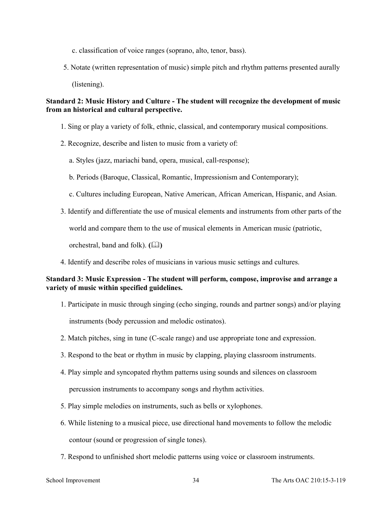- c. classification of voice ranges (soprano, alto, tenor, bass).
- 5. Notate (written representation of music) simple pitch and rhythm patterns presented aurally (listening).

## **Standard 2: Music History and Culture - The student will recognize the development of music from an historical and cultural perspective.**

- 1. Sing or play a variety of folk, ethnic, classical, and contemporary musical compositions.
- 2. Recognize, describe and listen to music from a variety of:
	- a. Styles (jazz, mariachi band, opera, musical, call-response);
	- b. Periods (Baroque, Classical, Romantic, Impressionism and Contemporary);
	- c. Cultures including European, Native American, African American, Hispanic, and Asian.
- 3. Identify and differentiate the use of musical elements and instruments from other parts of the

world and compare them to the use of musical elements in American music (patriotic,

orchestral, band and folk).  $(\Box \Box)$ 

4. Identify and describe roles of musicians in various music settings and cultures.

## **Standard 3: Music Expression - The student will perform, compose, improvise and arrange a variety of music within specified guidelines.**

- 1. Participate in music through singing (echo singing, rounds and partner songs) and/or playing instruments (body percussion and melodic ostinatos).
- 2. Match pitches, sing in tune (C-scale range) and use appropriate tone and expression.
- 3. Respond to the beat or rhythm in music by clapping, playing classroom instruments.
- 4. Play simple and syncopated rhythm patterns using sounds and silences on classroom percussion instruments to accompany songs and rhythm activities.
- 5. Play simple melodies on instruments, such as bells or xylophones.
- 6. While listening to a musical piece, use directional hand movements to follow the melodic contour (sound or progression of single tones).
- 7. Respond to unfinished short melodic patterns using voice or classroom instruments.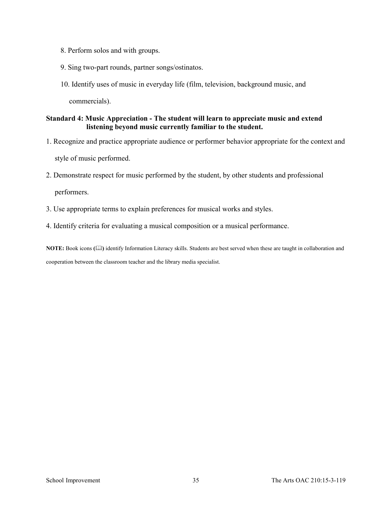- 8. Perform solos and with groups.
- 9. Sing two-part rounds, partner songs/ostinatos.
- 10. Identify uses of music in everyday life (film, television, background music, and

commercials).

## **Standard 4: Music Appreciation - The student will learn to appreciate music and extend listening beyond music currently familiar to the student.**

- 1. Recognize and practice appropriate audience or performer behavior appropriate for the context and style of music performed.
- 2. Demonstrate respect for music performed by the student, by other students and professional

performers.

- 3. Use appropriate terms to explain preferences for musical works and styles.
- 4. Identify criteria for evaluating a musical composition or a musical performance.

**NOTE:** Book icons **()** identify Information Literacy skills. Students are best served when these are taught in collaboration and cooperation between the classroom teacher and the library media specialist.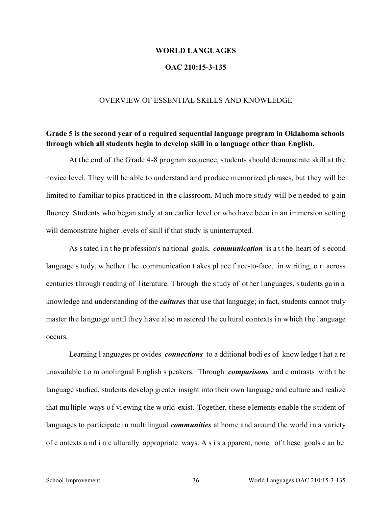#### **WORLD LANGUAGES**

## **OAC 210:15-3-135**

#### OVERVIEW OF ESSENTIAL SKILLS AND KNOWLEDGE

# **Grade 5 is the second year of a required sequential language program in Oklahoma schools through which all students begin to develop skill in a language other than English.**

At the end of the Grade 4-8 program sequence, students should demonstrate skill at the novice level. They will be able to understand and produce memorized phrases, but they will be limited to familiar topics practiced in the classroom. Much more study will be needed to gain fluency. Students who began study at an earlier level or who have been in an immersion setting will demonstrate higher levels of skill if that study is uninterrupted.

As s tated in the pr ofession's national goals, *communication* is a t the heart of second language s tudy, w hether t he communication t akes pl ace f ace-to-face, in w riting, o r across centuries t hrough r eading of l iterature. T hrough the s tudy of ot her l anguages, s tudents ga in a knowledge and understanding of the *cultures* that use that language; in fact, students cannot truly master the language until they have also mastered the cultural contexts in which the language occurs.

Learning l anguages pr ovides *connections* to a dditional bodi es of know ledge t hat a re unavailable t o m onolingual E nglish s peakers. Through *comparisons* and c ontrasts with t he language studied, students develop greater insight into their own language and culture and realize that mu ltiple ways o f vi ewing t he w orld exist. Together, t hese e lements e nable t he s tudent of languages to participate in multilingual *communities* at home and around the world in a variety of c ontexts a nd i n c ulturally appropriate ways. A s i s a pparent, none of t hese goals c an be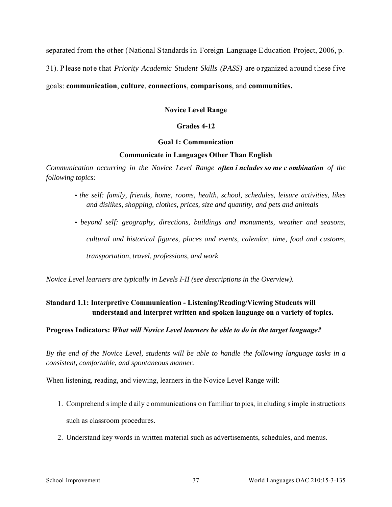separated from the other (National Standards in Foreign Language Education Project, 2006, p.

31). P lease not e t hat *Priority Academic Student Skills (PASS)* are o rganized a round t hese f ive

## goals: **communication**, **culture**, **connections**, **comparisons**, and **communities.**

**Novice Level Range** 

## **Grades 4-12**

## **Goal 1: Communication**

## **Communicate in Languages Other Than English**

*Communication occurring in the Novice Level Range often i ncludes so me c ombination of the following topics:* 

- *the self: family, friends, home, rooms, health, school, schedules, leisure activities, likes and dislikes, shopping, clothes, prices, size and quantity, and pets and animals*
- *beyond self: geography, directions, buildings and monuments, weather and seasons, cultural and historical figures, places and events, calendar, time, food and customs, transportation, travel, professions, and work*

*Novice Level learners are typically in Levels I-II (see descriptions in the Overview).* 

# **Standard 1.1: Interpretive Communication - Listening/Reading/Viewing Students will understand and interpret written and spoken language on a variety of topics.**

## **Progress Indicators:** *What will Novice Level learners be able to do in the target language?*

*By the end of the Novice Level, students will be able to handle the following language tasks in a consistent, comfortable, and spontaneous manner.* 

When listening, reading, and viewing, learners in the Novice Level Range will:

- 1. Comprehend s imple d aily c ommunications o n f amiliar to pics, in cluding s imple in structions such as classroom procedures.
- 2. Understand key words in written material such as advertisements, schedules, and menus.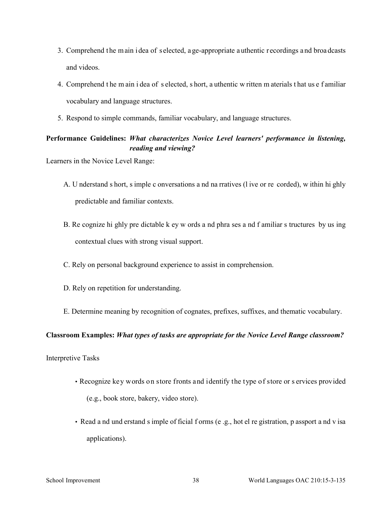- 3. Comprehend t he m ain i dea of selected, a ge-appropriate a uthentic recordings a nd broa dcasts and videos.
- 4. Comprehend t he m ain i dea of s elected, s hort, a uthentic w ritten m aterials t hat us e f amiliar vocabulary and language structures.
- 5. Respond to simple commands, familiar vocabulary, and language structures.

# **Performance Guidelines:** *What characterizes Novice Level learners' performance in listening, reading and viewing?*

Learners in the Novice Level Range:

- A. U nderstand s hort, s imple c onversations a nd na rratives (l ive or re corded), w ithin hi ghly predictable and familiar contexts.
- B. Re cognize hi ghly pre dictable k ey w ords a nd phra ses a nd f amiliar s tructures by us ing contextual clues with strong visual support.
- C. Rely on personal background experience to assist in comprehension.
- D. Rely on repetition for understanding.
- E. Determine meaning by recognition of cognates, prefixes, suffixes, and thematic vocabulary.

## **Classroom Examples:** *What types of tasks are appropriate for the Novice Level Range classroom?*

Interpretive Tasks

- Recognize key words on store fronts and identify the type of store or s ervices provided (e.g., book store, bakery, video store).
- Read a nd und erstand s imple of ficial f orms (e .g., hot el re gistration, p assport a nd v isa applications).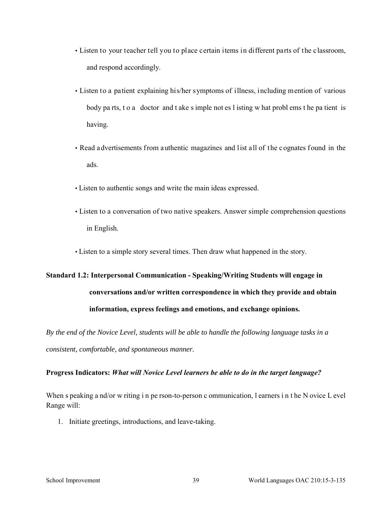- Listen to your teacher tell you to place certain items in different parts of the classroom, and respond accordingly.
- Listen to a patient explaining his/her symptoms of illness, including mention of various body pa rts, t o a doctor and t ake s imple not es l isting w hat probl ems t he pa tient is having.
- Read advertisements from authentic magazines and list all of the cognates found in the ads.
- Listen to authentic songs and write the main ideas expressed.
- Listen to a conversation of two native speakers. Answer simple comprehension questions in English.
- Listen to a simple story several times. Then draw what happened in the story.

# **Standard 1.2: Interpersonal Communication - Speaking/Writing Students will engage in conversations and/or written correspondence in which they provide and obtain information, express feelings and emotions, and exchange opinions.**

*By the end of the Novice Level, students will be able to handle the following language tasks in a consistent, comfortable, and spontaneous manner.* 

## **Progress Indicators:** *What will Novice Level learners be able to do in the target language?*

When s peaking a nd/or w riting i n pe rson-to-person c ommunication, I earners i n t he N ovice L evel Range will:

1. Initiate greetings, introductions, and leave-taking.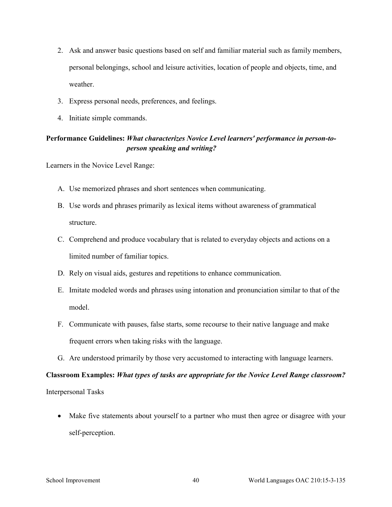- 2. Ask and answer basic questions based on self and familiar material such as family members, personal belongings, school and leisure activities, location of people and objects, time, and weather.
- 3. Express personal needs, preferences, and feelings.
- 4. Initiate simple commands.

# **Performance Guidelines:** *What characterizes Novice Level learners' performance in person-toperson speaking and writing?*

Learners in the Novice Level Range:

- A. Use memorized phrases and short sentences when communicating.
- B. Use words and phrases primarily as lexical items without awareness of grammatical structure.
- C. Comprehend and produce vocabulary that is related to everyday objects and actions on a limited number of familiar topics.
- D. Rely on visual aids, gestures and repetitions to enhance communication.
- E. Imitate modeled words and phrases using intonation and pronunciation similar to that of the model.
- F. Communicate with pauses, false starts, some recourse to their native language and make frequent errors when taking risks with the language.
- G. Are understood primarily by those very accustomed to interacting with language learners.

# **Classroom Examples:** *What types of tasks are appropriate for the Novice Level Range classroom?*  Interpersonal Tasks

• Make five statements about yourself to a partner who must then agree or disagree with your self-perception.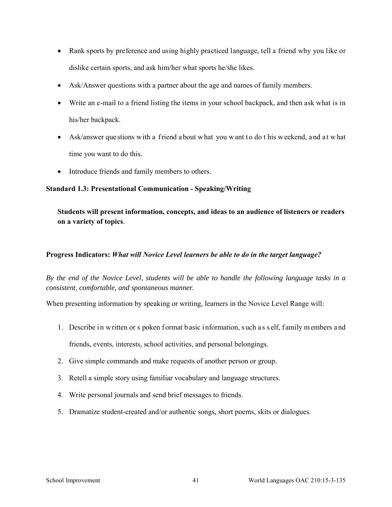- Rank sports by preference and using highly practiced language, tell a friend why you like or dislike certain sports, and ask him/her what sports he/she likes.
- Ask/Answer questions with a partner about the age and names of family members.
- Write an e-mail to a friend listing the items in your school backpack, and then ask what is in his/her backpack.
- Ask/answer que stions with a friend a bout what you want to do this weekend, and at what time you want to do this.
- Introduce friends and family members to others.

## **Standard 1.3: Presentational Communication - Speaking/Writing**

**Students will present information, concepts, and ideas to an audience of listeners or readers on a variety of topics**.

## **Progress Indicators:** *What will Novice Level learners be able to do in the target language?*

*By the end of the Novice Level, students will be able to handle the following language tasks in a consistent, comfortable, and spontaneous manner.* 

When presenting information by speaking or writing, learners in the Novice Level Range will:

- 1. Describe in w ritten or s poken format basic information, such as self, family m embers and friends, events, interests, school activities, and personal belongings.
- 2. Give simple commands and make requests of another person or group.
- 3. Retell a simple story using familiar vocabulary and language structures.
- 4. Write personal journals and send brief messages to friends.
- 5. Dramatize student-created and/or authentic songs, short poems, skits or dialogues.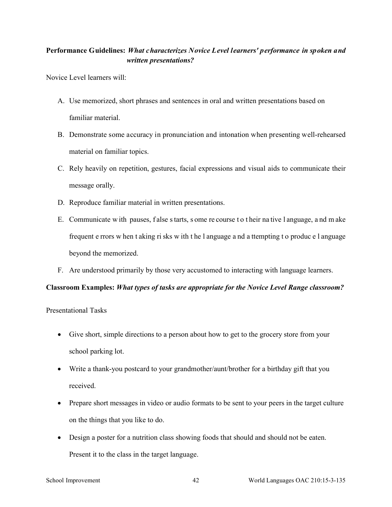# **Performance Guidelines:** *What characterizes Novice Level learners' performance in spoken and written presentations?*

Novice Level learners will:

- A. Use memorized, short phrases and sentences in oral and written presentations based on familiar material.
- B. Demonstrate some accuracy in pronunciation and intonation when presenting well-rehearsed material on familiar topics.
- C. Rely heavily on repetition, gestures, facial expressions and visual aids to communicate their message orally.
- D. Reproduce familiar material in written presentations.
- E. Communicate w ith pauses, f alse s tarts, s ome re course t o t heir na tive l anguage, a nd m ake frequent e rrors w hen t aking ri sks w ith t he l anguage a nd a ttempting t o produc e l anguage beyond the memorized.
- F. Are understood primarily by those very accustomed to interacting with language learners.

## **Classroom Examples:** *What types of tasks are appropriate for the Novice Level Range classroom?*

Presentational Tasks

- Give short, simple directions to a person about how to get to the grocery store from your school parking lot.
- Write a thank-you postcard to your grandmother/aunt/brother for a birthday gift that you received.
- Prepare short messages in video or audio formats to be sent to your peers in the target culture on the things that you like to do.
- Design a poster for a nutrition class showing foods that should and should not be eaten. Present it to the class in the target language.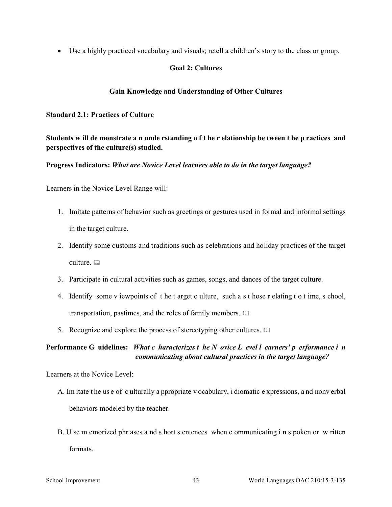• Use a highly practiced vocabulary and visuals; retell a children's story to the class or group.

## **Goal 2: Cultures**

## **Gain Knowledge and Understanding of Other Cultures**

**Standard 2.1: Practices of Culture** 

**Students w ill de monstrate a n unde rstanding o f t he r elationship be tween t he p ractices and perspectives of the culture(s) studied.** 

**Progress Indicators:** *What are Novice Level learners able to do in the target language?* 

Learners in the Novice Level Range will:

- 1. Imitate patterns of behavior such as greetings or gestures used in formal and informal settings in the target culture.
- 2. Identify some customs and traditions such as celebrations and holiday practices of the target culture.
- 3. Participate in cultural activities such as games, songs, and dances of the target culture.
- 4. Identify some v iewpoints of t he t arget c ulture, such a s t hose r elating t o t ime, s chool, transportation, pastimes, and the roles of family members.
- 5. Recognize and explore the process of stereotyping other cultures.  $\Box$

**Performance G uidelines:** *What c haracterizes t he N ovice L evel l earners' p erformance i n communicating about cultural practices in the target language?* 

Learners at the Novice Level:

- A. Im itate t he us e of c ulturally a ppropriate v ocabulary, i diomatic e xpressions, a nd nonv erbal behaviors modeled by the teacher.
- B. U se m emorized phr ases a nd s hort s entences when c ommunicating i n s poken or w ritten formats.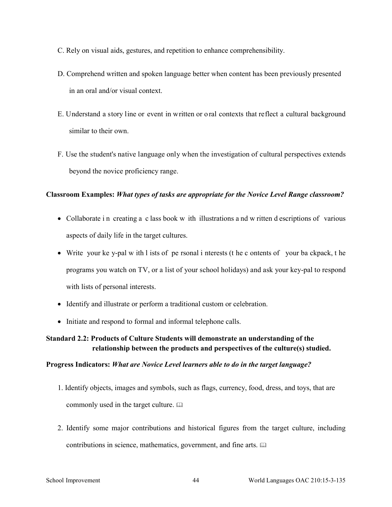- C. Rely on visual aids, gestures, and repetition to enhance comprehensibility.
- D. Comprehend written and spoken language better when content has been previously presented in an oral and/or visual context.
- E. Understand a story line or event in written or o ral contexts that reflect a cultural background similar to their own.
- F. Use the student's native language only when the investigation of cultural perspectives extends beyond the novice proficiency range.

## **Classroom Examples:** *What types of tasks are appropriate for the Novice Level Range classroom?*

- Collaborate in creating a class book w ith illustrations and w ritten d escriptions of various aspects of daily life in the target cultures.
- Write your ke y-pal w ith l ists of pe rsonal i nterests (t he c ontents of your ba ckpack, t he programs you watch on TV, or a list of your school holidays) and ask your key-pal to respond with lists of personal interests.
- Identify and illustrate or perform a traditional custom or celebration.
- Initiate and respond to formal and informal telephone calls.

# **Standard 2.2: Products of Culture Students will demonstrate an understanding of the relationship between the products and perspectives of the culture(s) studied.**

## **Progress Indicators:** *What are Novice Level learners able to do in the target language?*

- 1. Identify objects, images and symbols, such as flags, currency, food, dress, and toys, that are commonly used in the target culture.
- 2. Identify some major contributions and historical figures from the target culture, including contributions in science, mathematics, government, and fine arts.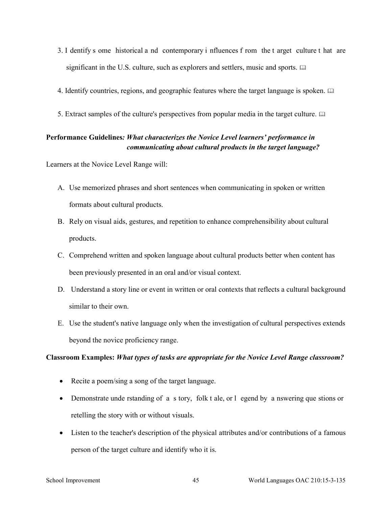- 3. I dentify s ome historical a nd contemporary i nfluences f rom the t arget culture t hat are significant in the U.S. culture, such as explorers and settlers, music and sports.  $\Box$
- 4. Identify countries, regions, and geographic features where the target language is spoken.
- 5. Extract samples of the culture's perspectives from popular media in the target culture.

# **Performance Guidelines***: What characterizes the Novice Level learners' performance in communicating about cultural products in the target language?*

Learners at the Novice Level Range will:

- A. Use memorized phrases and short sentences when communicating in spoken or written formats about cultural products.
- B. Rely on visual aids, gestures, and repetition to enhance comprehensibility about cultural products.
- C. Comprehend written and spoken language about cultural products better when content has been previously presented in an oral and/or visual context.
- D. Understand a story line or event in written or oral contexts that reflects a cultural background similar to their own.
- E. Use the student's native language only when the investigation of cultural perspectives extends beyond the novice proficiency range.

## **Classroom Examples:** *What types of tasks are appropriate for the Novice Level Range classroom?*

- Recite a poem/sing a song of the target language.
- Demonstrate unde rstanding of a s tory, folk t ale, or l egend by a nswering que stions or retelling the story with or without visuals.
- Listen to the teacher's description of the physical attributes and/or contributions of a famous person of the target culture and identify who it is.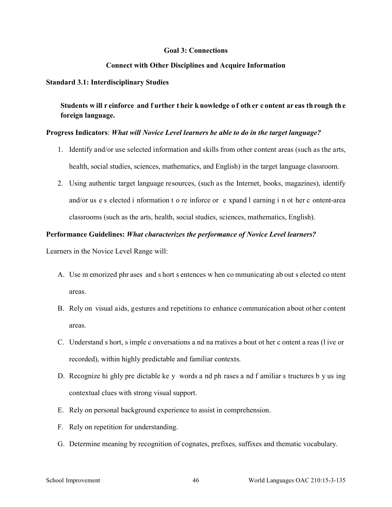#### **Goal 3: Connections**

#### **Connect with Other Disciplines and Acquire Information**

#### **Standard 3.1: Interdisciplinary Studies**

Students w ill r einforce and f urther their k nowledge of oth er c ontent ar eas th rough the **foreign language.** 

#### **Progress Indicators**: *What will Novice Level learners be able to do in the target language?*

- 1. Identify and/or use selected information and skills from other content areas (such as the arts, health, social studies, sciences, mathematics, and English) in the target language classroom.
- 2. Using authentic target language resources, (such as the Internet, books, magazines), identify and/or us e s elected i nformation t o re inforce or e xpand l earning i n ot her c ontent-area classrooms (such as the arts, health, social studies, sciences, mathematics, English).

#### **Performance Guidelines:** *What characterizes the performance of Novice Level learners?*

- A. Use m emorized phr ases and s hort s entences w hen co mmunicating ab out s elected co ntent areas.
- B. Rely on visual aids, gestures and repetitions to enhance communication about other content areas.
- C. Understand s hort, s imple c onversations a nd na rratives a bout ot her c ontent a reas (l ive or recorded), within highly predictable and familiar contexts.
- D. Recognize hi ghly pre dictable ke y words a nd ph rases a nd f amiliar s tructures b y us ing contextual clues with strong visual support.
- E. Rely on personal background experience to assist in comprehension.
- F. Rely on repetition for understanding.
- G. Determine meaning by recognition of cognates, prefixes, suffixes and thematic vocabulary.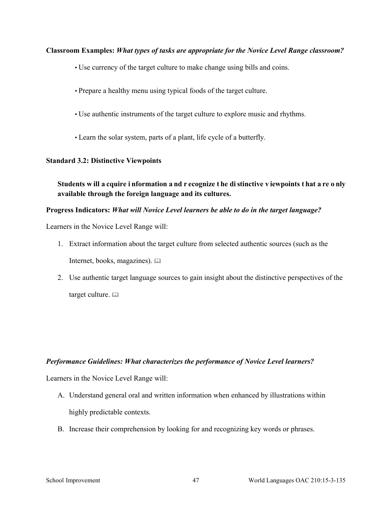## **Classroom Examples:** *What types of tasks are appropriate for the Novice Level Range classroom?*

- Use currency of the target culture to make change using bills and coins.
- Prepare a healthy menu using typical foods of the target culture.
- Use authentic instruments of the target culture to explore music and rhythms.
- Learn the solar system, parts of a plant, life cycle of a butterfly.

## **Standard 3.2: Distinctive Viewpoints**

**Students w ill a cquire i nformation a nd r ecognize t he di stinctive v iewpoints t hat a re o nly available through the foreign language and its cultures.** 

## **Progress Indicators:** *What will Novice Level learners be able to do in the target language?*

Learners in the Novice Level Range will:

- 1. Extract information about the target culture from selected authentic sources (such as the Internet, books, magazines).
- 2. Use authentic target language sources to gain insight about the distinctive perspectives of the target culture.

## *Performance Guidelines: What characterizes the performance of Novice Level learners?*

- A. Understand general oral and written information when enhanced by illustrations within highly predictable contexts.
- B. Increase their comprehension by looking for and recognizing key words or phrases.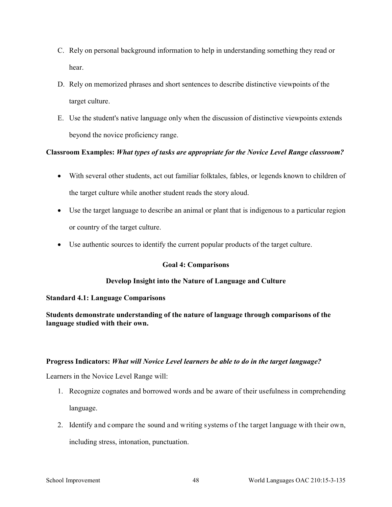- C. Rely on personal background information to help in understanding something they read or hear.
- D. Rely on memorized phrases and short sentences to describe distinctive viewpoints of the target culture.
- E. Use the student's native language only when the discussion of distinctive viewpoints extends beyond the novice proficiency range.

# **Classroom Examples:** *What types of tasks are appropriate for the Novice Level Range classroom?*

- With several other students, act out familiar folktales, fables, or legends known to children of the target culture while another student reads the story aloud.
- Use the target language to describe an animal or plant that is indigenous to a particular region or country of the target culture.
- Use authentic sources to identify the current popular products of the target culture.

## **Goal 4: Comparisons**

## **Develop Insight into the Nature of Language and Culture**

## **Standard 4.1: Language Comparisons**

**Students demonstrate understanding of the nature of language through comparisons of the language studied with their own.** 

## **Progress Indicators:** *What will Novice Level learners be able to do in the target language?*

- 1. Recognize cognates and borrowed words and be aware of their usefulness in comprehending language.
- 2. Identify and compare the sound and writing systems of the target language with their own, including stress, intonation, punctuation.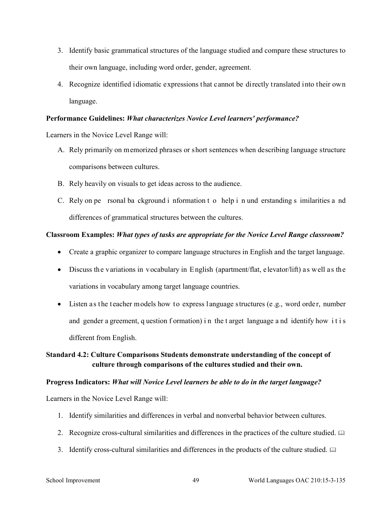- 3. Identify basic grammatical structures of the language studied and compare these structures to their own language, including word order, gender, agreement.
- 4. Recognize identified idiomatic expressions that cannot be directly translated into their own language.

#### **Performance Guidelines:** *What characterizes Novice Level learners' performance?*

Learners in the Novice Level Range will:

- A. Rely primarily on memorized phrases or short sentences when describing language structure comparisons between cultures.
- B. Rely heavily on visuals to get ideas across to the audience.
- C. Rely on pe rsonal ba ckground i nformation t o help i n und erstanding s imilarities a nd differences of grammatical structures between the cultures.

## **Classroom Examples:** *What types of tasks are appropriate for the Novice Level Range classroom?*

- Create a graphic organizer to compare language structures in English and the target language.
- Discuss the variations in vocabulary in English (apartment/flat, elevator/lift) as well as the variations in vocabulary among target language countries.
- Listen as the teacher models how to express language structures (e.g., word order, number and gender a greement, q uestion f ormation) in the t arget language a nd identify how it is different from English.

# **Standard 4.2: Culture Comparisons Students demonstrate understanding of the concept of culture through comparisons of the cultures studied and their own.**

#### **Progress Indicators:** *What will Novice Level learners be able to do in the target language?*

- 1. Identify similarities and differences in verbal and nonverbal behavior between cultures.
- 2. Recognize cross-cultural similarities and differences in the practices of the culture studied.
- 3. Identify cross-cultural similarities and differences in the products of the culture studied.  $\Box$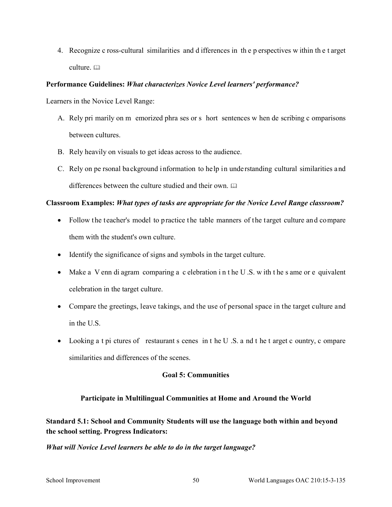4. Recognize c ross-cultural similarities and d ifferences in th e p erspectives w ithin th e t arget culture. a

## **Performance Guidelines:** *What characterizes Novice Level learners' performance?*

Learners in the Novice Level Range:

- A. Rely pri marily on m emorized phra ses or s hort sentences w hen de scribing c omparisons between cultures.
- B. Rely heavily on visuals to get ideas across to the audience.
- C. Rely on pe rsonal background information to help in understanding cultural similarities and differences between the culture studied and their own.

# **Classroom Examples:** *What types of tasks are appropriate for the Novice Level Range classroom?*

- Follow the teacher's model to practice the table manners of the target culture and compare them with the student's own culture.
- Identify the significance of signs and symbols in the target culture.
- Make a V enn di agram comparing a c elebration in the U.S. w ith the s ame or e quivalent celebration in the target culture.
- Compare the greetings, leave takings, and the use of personal space in the target culture and in the U.S.
- Looking a t pi ctures of restaurant s cenes in t he U.S. a nd t he t arget c ountry, c ompare similarities and differences of the scenes.

## **Goal 5: Communities**

## **Participate in Multilingual Communities at Home and Around the World**

# **Standard 5.1: School and Community Students will use the language both within and beyond the school setting. Progress Indicators:**

## *What will Novice Level learners be able to do in the target language?*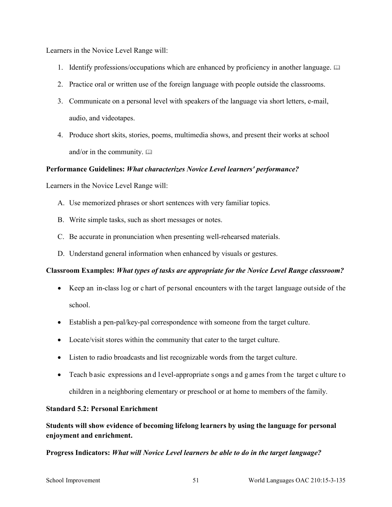Learners in the Novice Level Range will:

- 1. Identify professions/occupations which are enhanced by proficiency in another language.  $\Box$
- 2. Practice oral or written use of the foreign language with people outside the classrooms.
- 3. Communicate on a personal level with speakers of the language via short letters, e-mail, audio, and videotapes.
- 4. Produce short skits, stories, poems, multimedia shows, and present their works at school and/or in the community.  $\Box$

## **Performance Guidelines:** *What characterizes Novice Level learners' performance?*

Learners in the Novice Level Range will:

- A. Use memorized phrases or short sentences with very familiar topics.
- B. Write simple tasks, such as short messages or notes.
- C. Be accurate in pronunciation when presenting well-rehearsed materials.
- D. Understand general information when enhanced by visuals or gestures.

## **Classroom Examples:** *What types of tasks are appropriate for the Novice Level Range classroom?*

- Keep an in-class log or c hart of personal encounters with the target language outside of the school.
- Establish a pen-pal/key-pal correspondence with someone from the target culture.
- Locate/visit stores within the community that cater to the target culture.
- Listen to radio broadcasts and list recognizable words from the target culture.
- Teach b asic expressions and l evel-appropriate s ongs and g ames from the target c ulture to children in a neighboring elementary or preschool or at home to members of the family.

## **Standard 5.2: Personal Enrichment**

**Students will show evidence of becoming lifelong learners by using the language for personal enjoyment and enrichment.** 

**Progress Indicators:** *What will Novice Level learners be able to do in the target language?*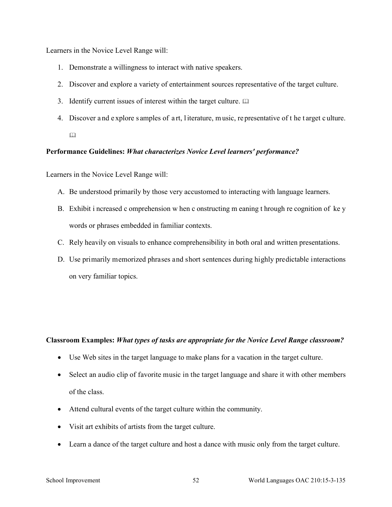Learners in the Novice Level Range will:

- 1. Demonstrate a willingness to interact with native speakers.
- 2. Discover and explore a variety of entertainment sources representative of the target culture.
- 3. Identify current issues of interest within the target culture.
- 4. Discover a nd e xplore s amples of a rt, l iterature, m usic, re presentative of t he t arget c ulture.
	- $\Box$

## **Performance Guidelines:** *What characterizes Novice Level learners' performance?*

Learners in the Novice Level Range will:

- A. Be understood primarily by those very accustomed to interacting with language learners.
- B. Exhibit i ncreased c omprehension w hen c onstructing m eaning t hrough re cognition of ke y words or phrases embedded in familiar contexts.
- C. Rely heavily on visuals to enhance comprehensibility in both oral and written presentations.
- D. Use primarily memorized phrases and short sentences during highly predictable interactions on very familiar topics.

#### **Classroom Examples:** *What types of tasks are appropriate for the Novice Level Range classroom?*

- Use Web sites in the target language to make plans for a vacation in the target culture.
- Select an audio clip of favorite music in the target language and share it with other members of the class.
- Attend cultural events of the target culture within the community.
- Visit art exhibits of artists from the target culture.
- Learn a dance of the target culture and host a dance with music only from the target culture.